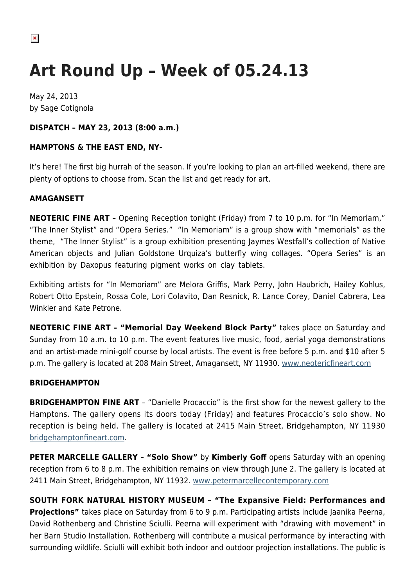# **Art Round Up – Week of 05.24.13**

May 24, 2013 by Sage Cotignola

# **DISPATCH – MAY 23, 2013 (8:00 a.m.)**

# **HAMPTONS & THE EAST END, NY-**

It's here! The first big hurrah of the season. If you're looking to plan an art-filled weekend, there are plenty of options to choose from. Scan the list and get ready for art.

## **AMAGANSETT**

**NEOTERIC FINE ART –** Opening Reception tonight (Friday) from 7 to 10 p.m. for "In Memoriam," "The Inner Stylist" and "Opera Series." "In Memoriam" is a group show with "memorials" as the theme, "The Inner Stylist" is a group exhibition presenting Jaymes Westfall's collection of Native American objects and Julian Goldstone Urquiza's butterfly wing collages. "Opera Series" is an exhibition by Daxopus featuring pigment works on clay tablets.

Exhibiting artists for "In Memoriam" are Melora Griffis, Mark Perry, John Haubrich, Hailey Kohlus, Robert Otto Epstein, Rossa Cole, Lori Colavito, Dan Resnick, R. Lance Corey, Daniel Cabrera, Lea Winkler and Kate Petrone.

**NEOTERIC FINE ART – "Memorial Day Weekend Block Party"** takes place on Saturday and Sunday from 10 a.m. to 10 p.m. The event features live music, food, aerial yoga demonstrations and an artist-made mini-golf course by local artists. The event is free before 5 p.m. and \$10 after 5 p.m. The gallery is located at 208 Main Street, Amagansett, NY 11930. [www.neotericfineart.com](http://www.neotericfineart.com)

## **BRIDGEHAMPTON**

**BRIDGEHAMPTON FINE ART** - "Danielle Procaccio" is the first show for the newest gallery to the Hamptons. The gallery opens its doors today (Friday) and features Procaccio's solo show. No reception is being held. The gallery is located at 2415 Main Street, Bridgehampton, NY 11930 [bridgehamptonfineart.com.](http://bridgehamptonfineart.com/)

**PETER MARCELLE GALLERY – "Solo Show"** by **Kimberly Goff** opens Saturday with an opening reception from 6 to 8 p.m. The exhibition remains on view through June 2. The gallery is located at 2411 Main Street, Bridgehampton, NY 11932. [www.petermarcellecontemporary.com](http://www.petermarcellecontemporary.com)

**SOUTH FORK NATURAL HISTORY MUSEUM – "The Expansive Field: Performances and Projections"** takes place on Saturday from 6 to 9 p.m. Participating artists include Jaanika Peerna, David Rothenberg and Christine Sciulli. Peerna will experiment with "drawing with movement" in her Barn Studio Installation. Rothenberg will contribute a musical performance by interacting with surrounding wildlife. Sciulli will exhibit both indoor and outdoor projection installations. The public is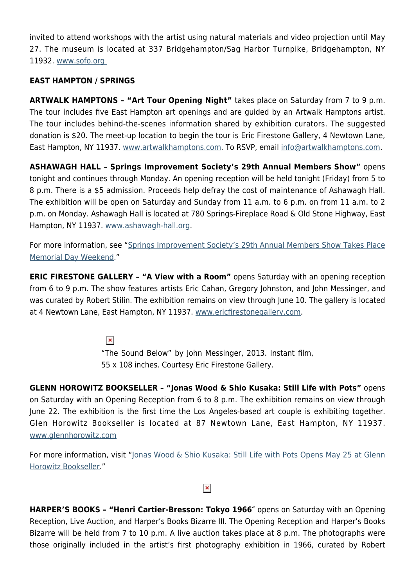invited to attend workshops with the artist using natural materials and video projection until May 27. The museum is located at 337 Bridgehampton/Sag Harbor Turnpike, Bridgehampton, NY 11932. [www.sofo.org](http://www.sofo.org) 

## **EAST HAMPTON / SPRINGS**

**ARTWALK HAMPTONS – "Art Tour Opening Night"** takes place on Saturday from 7 to 9 p.m. The tour includes five East Hampton art openings and are guided by an Artwalk Hamptons artist. The tour includes behind-the-scenes information shared by exhibition curators. The suggested donation is \$20. The meet-up location to begin the tour is Eric Firestone Gallery, 4 Newtown Lane, East Hampton, NY 11937. [www.artwalkhamptons.com](http://www.artwalkhamptons.com). To RSVP, email [info@artwalkhamptons.com.](mailto:info@artwalkhamptons.com)

**ASHAWAGH HALL – Springs Improvement Society's 29th Annual Members Show"** opens tonight and continues through Monday. An opening reception will be held tonight (Friday) from 5 to 8 p.m. There is a \$5 admission. Proceeds help defray the cost of maintenance of Ashawagh Hall. The exhibition will be open on Saturday and Sunday from 11 a.m. to 6 p.m. on from 11 a.m. to 2 p.m. on Monday. Ashawagh Hall is located at 780 Springs-Fireplace Road & Old Stone Highway, East Hampton, NY 11937. [www.ashawagh-hall.org.](http://www.ashawagh-hall.org/)

For more information, see "[Springs Improvement Society's 29th Annual Members Show Takes Place](https://hamptonsarthub.com/2013/05/20/springs-improvement-societys-29th-annual-members-show-takes-place-memorial-day-weekend/) [Memorial Day Weekend](https://hamptonsarthub.com/2013/05/20/springs-improvement-societys-29th-annual-members-show-takes-place-memorial-day-weekend/)."

**ERIC FIRESTONE GALLERY - "A View with a Room"** opens Saturday with an opening reception from 6 to 9 p.m. The show features artists Eric Cahan, Gregory Johnston, and John Messinger, and was curated by Robert Stilin. The exhibition remains on view through June 10. The gallery is located at 4 Newtown Lane, East Hampton, NY 11937. [www.ericfirestonegallery.com.](http://www.ericfirestonegallery.com/)

 $\pmb{\times}$ 

"The Sound Below" by John Messinger, 2013. Instant film, 55 x 108 inches. Courtesy Eric Firestone Gallery.

**GLENN HOROWITZ BOOKSELLER – "Jonas Wood & Shio Kusaka: Still Life with Pots"** opens on Saturday with an Opening Reception from 6 to 8 p.m. The exhibition remains on view through June 22. The exhibition is the first time the Los Angeles-based art couple is exhibiting together. Glen Horowitz Bookseller is located at 87 Newtown Lane, East Hampton, NY 11937. [www.glennhorowitz.com](http://www.glennhorowitz.com)

For more information, visit "[Jonas Wood & Shio Kusaka: Still Life with Pots Opens May 25 at Glenn](https://hamptonsarthub.com/2013/05/22/jonas-wood-shio-kusaka-still-life-with-pots-opens-may-25-at-glenn-horowitz-bookseller/) [Horowitz Bookseller.](https://hamptonsarthub.com/2013/05/22/jonas-wood-shio-kusaka-still-life-with-pots-opens-may-25-at-glenn-horowitz-bookseller/)"

#### $\pmb{\times}$

**HARPER'S BOOKS – "Henri Cartier-Bresson: Tokyo 1966″** opens on Saturday with an Opening Reception, Live Auction, and Harper's Books Bizarre III. The Opening Reception and Harper's Books Bizarre will be held from 7 to 10 p.m. A live auction takes place at 8 p.m. The photographs were those originally included in the artist's first photography exhibition in 1966, curated by Robert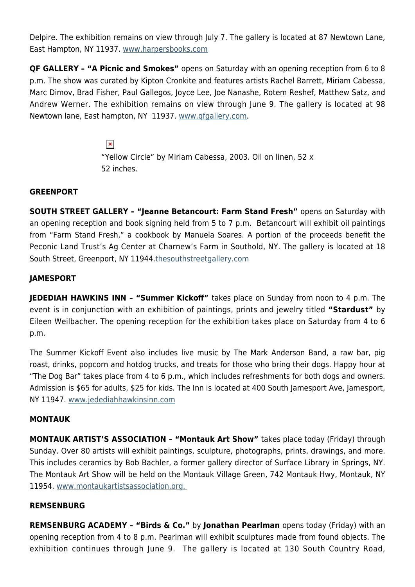Delpire. The exhibition remains on view through July 7. The gallery is located at 87 Newtown Lane, East Hampton, NY 11937. [www.harpersbooks.com](http://www.harpersbooks.com/)

**QF GALLERY – "A Picnic and Smokes"** opens on Saturday with an opening reception from 6 to 8 p.m. The show was curated by Kipton Cronkite and features artists Rachel Barrett, Miriam Cabessa, Marc Dimov, Brad Fisher, Paul Gallegos, Joyce Lee, Joe Nanashe, Rotem Reshef, Matthew Satz, and Andrew Werner. The exhibition remains on view through June 9. The gallery is located at 98 Newtown lane, East hampton, NY 11937. [www.qfgallery.com.](http://www.qfgallery.com)

> $\pmb{\times}$ "Yellow Circle" by Miriam Cabessa, 2003. Oil on linen, 52 x 52 inches.

## **GREENPORT**

**SOUTH STREET GALLERY – "Jeanne Betancourt: Farm Stand Fresh"** opens on Saturday with an opening reception and book signing held from 5 to 7 p.m. Betancourt will exhibit oil paintings from "Farm Stand Fresh," a cookbook by Manuela Soares. A portion of the proceeds benefit the Peconic Land Trust's Ag Center at Charnew's Farm in Southold, NY. The gallery is located at 18 South Street, Greenport, NY 11944.[thesouthstreetgallery.com](http://thesouthstreetgallery.com)

# **JAMESPORT**

**JEDEDIAH HAWKINS INN – "Summer Kickoff"** takes place on Sunday from noon to 4 p.m. The event is in conjunction with an exhibition of paintings, prints and jewelry titled **"Stardust"** by Eileen Weilbacher. The opening reception for the exhibition takes place on Saturday from 4 to 6 p.m.

The Summer Kickoff Event also includes live music by The Mark Anderson Band, a raw bar, pig roast, drinks, popcorn and hotdog trucks, and treats for those who bring their dogs. Happy hour at "The Dog Bar" takes place from 4 to 6 p.m., which includes refreshments for both dogs and owners. Admission is \$65 for adults, \$25 for kids. The Inn is located at 400 South Jamesport Ave, Jamesport, NY 11947. [www.jedediahhawkinsinn.com](http://www.jedediahhawkinsinn.com)

## **MONTAUK**

**MONTAUK ARTIST'S ASSOCIATION – "Montauk Art Show"** takes place today (Friday) through Sunday. Over 80 artists will exhibit paintings, sculpture, photographs, prints, drawings, and more. This includes ceramics by Bob Bachler, a former gallery director of Surface Library in Springs, NY. The Montauk Art Show will be held on the Montauk Village Green, 742 Montauk Hwy, Montauk, NY 11954. [www.montaukartistsassociation.org.](http://www.montaukartistsassociation.org/index.htm) 

#### **REMSENBURG**

**REMSENBURG ACADEMY – "Birds & Co."** by **Jonathan Pearlman** opens today (Friday) with an opening reception from 4 to 8 p.m. Pearlman will exhibit sculptures made from found objects. The exhibition continues through June 9. The gallery is located at 130 South Country Road,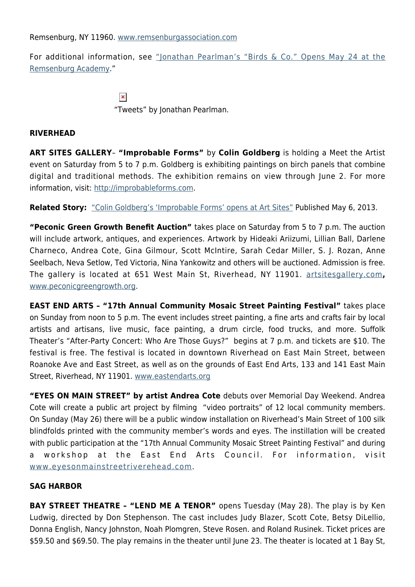Remsenburg, NY 11960. [www.remsenburgassociation.com](http://www.remsenburgassociation.com/the-remsenburg-academy.html)

For additional information, see ["Jonathan Pearlman's "Birds & Co." Opens May 24 at the](https://hamptonsarthub.com/2013/05/21/jonathan-pearlmans-birds-co-opens-may-24-at-the-remsenburg-academy/) [Remsenburg Academy](https://hamptonsarthub.com/2013/05/21/jonathan-pearlmans-birds-co-opens-may-24-at-the-remsenburg-academy/)."

> $\pmb{\times}$ "Tweets" by Jonathan Pearlman.

#### **RIVERHEAD**

**ART SITES GALLERY**– **"Improbable Forms"** by **Colin Goldberg** is holding a Meet the Artist event on Saturday from 5 to 7 p.m. Goldberg is exhibiting paintings on birch panels that combine digital and traditional methods. The exhibition remains on view through June 2. For more information, visit:<http://improbableforms.com>.

**Related Story:** ["Colin Goldberg's 'Improbable Forms' opens at Art Sites"](https://hamptonsarthub.com/2013/05/06/colin-goldbergs-improbable-forms-opens-at-art-sites/) Published May 6, 2013.

**"Peconic Green Growth Benefit Auction"** takes place on Saturday from 5 to 7 p.m. The auction will include artwork, antiques, and experiences. Artwork by Hideaki Ariizumi, Lillian Ball, Darlene Charneco, Andrea Cote, Gina Gilmour, Scott McIntire, Sarah Cedar Miller, S. J. Rozan, Anne Seelbach, Neva Setlow, Ted Victoria, Nina Yankowitz and others will be auctioned. Admission is free. The gallery is located at 651 West Main St, Riverhead, NY 11901. [artsitesgallery.com](http://artsitesgallery.com/)**,** [www.peconicgreengrowth.org.](http://www.peconicgreengrowth.org/)

**EAST END ARTS – "17th Annual Community Mosaic Street Painting Festival"** takes place on Sunday from noon to 5 p.m. The event includes street painting, a fine arts and crafts fair by local artists and artisans, live music, face painting, a drum circle, food trucks, and more. Suffolk Theater's "After-Party Concert: Who Are Those Guys?" begins at 7 p.m. and tickets are \$10. The festival is free. The festival is located in downtown Riverhead on East Main Street, between Roanoke Ave and East Street, as well as on the grounds of East End Arts, 133 and 141 East Main Street, Riverhead, NY 11901. [www.eastendarts.org](http://www.eastendarts.org/programs/events/community-mosaic.html)

**"EYES ON MAIN STREET" by artist Andrea Cote** debuts over Memorial Day Weekend. Andrea Cote will create a public art project by filming "video portraits" of 12 local community members. On Sunday (May 26) there will be a public window installation on Riverhead's Main Street of 100 silk blindfolds printed with the community member's words and eyes. The instillation will be created with public participation at the "17th Annual Community Mosaic Street Painting Festival" and during a workshop at the East End Arts Council. For information, visit [www.eyesonmainstreetriverehead.com.](http://www.eyesonmainstreetriverehead.com/)

#### **SAG HARBOR**

**BAY STREET THEATRE - "LEND ME A TENOR"** opens Tuesday (May 28). The play is by Ken Ludwig, directed by Don Stephenson. The cast includes Judy Blazer, Scott Cote, Betsy DiLellio, Donna English, Nancy Johnston, Noah Plomgren, Steve Rosen. and Roland Rusinek. Ticket prices are \$59.50 and \$69.50. The play remains in the theater until June 23. The theater is located at 1 Bay St,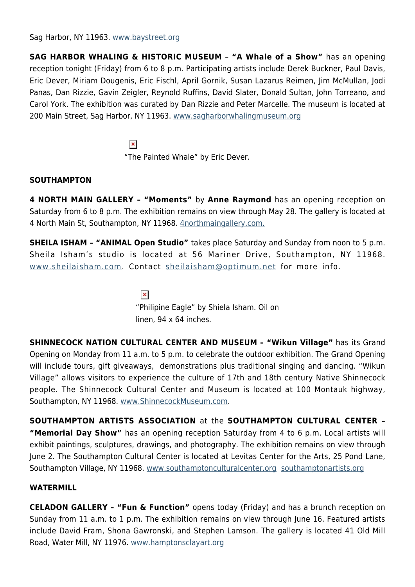Sag Harbor, NY 11963. [www.baystreet.org](http://www.baystreet.org)

**SAG HARBOR WHALING & HISTORIC MUSEUM** – **"A Whale of a Show"** has an opening reception tonight (Friday) from 6 to 8 p.m. Participating artists include Derek Buckner, Paul Davis, Eric Dever, Miriam Dougenis, Eric Fischl, April Gornik, Susan Lazarus Reimen, Jim McMullan, Jodi Panas, Dan Rizzie, Gavin Zeigler, Reynold Ruffins, David Slater, Donald Sultan, John Torreano, and Carol York. The exhibition was curated by Dan Rizzie and Peter Marcelle. The museum is located at 200 Main Street, Sag Harbor, NY 11963. [www.sagharborwhalingmuseum.org](http://www.sagharborwhalingmuseum.org/peconic-2012.shtml)

> $\pmb{\times}$ "The Painted Whale" by Eric Dever.

## **SOUTHAMPTON**

**4 NORTH MAIN GALLERY – "Moments"** by **Anne Raymond** has an opening reception on Saturday from 6 to 8 p.m. The exhibition remains on view through May 28. The gallery is located at 4 North Main St, Southampton, NY 11968. [4northmaingallery.com.](http://4northmaingallery.com/)

**SHEILA ISHAM – "ANIMAL Open Studio"** takes place Saturday and Sunday from noon to 5 p.m. Sheila Isham's studio is located at 56 Mariner Drive, Southampton, NY 11968. [www.sheilaisham.com.](http://www.sheilaisham.com) Contact [sheilaisham@optimum.net](mailto:sheilaisham@optimum.net) for more info.

 $\pmb{\times}$ 

"Philipine Eagle" by Shiela Isham. Oil on linen, 94 x 64 inches.

**SHINNECOCK NATION CULTURAL CENTER AND MUSEUM – "Wikun Village"** has its Grand Opening on Monday from 11 a.m. to 5 p.m. to celebrate the outdoor exhibition. The Grand Opening will include tours, gift giveaways, demonstrations plus traditional singing and dancing. "Wikun Village" allows visitors to experience the culture of 17th and 18th century Native Shinnecock people. The Shinnecock Cultural Center and Museum is located at 100 Montauk highway, Southampton, NY 11968. [www.ShinnecockMuseum.com.](http://www.ShinnecockMuseum.com/)

**SOUTHAMPTON ARTISTS ASSOCIATION** at the **SOUTHAMPTON CULTURAL CENTER – "Memorial Day Show"** has an opening reception Saturday from 4 to 6 p.m. Local artists will exhibit paintings, sculptures, drawings, and photography. The exhibition remains on view through June 2. The Southampton Cultural Center is located at Levitas Center for the Arts, 25 Pond Lane, Southampton Village, NY 11968. [www.southamptonculturalcenter.org](http://www.southamptonculturalcenter.org) [southamptonartists.org](http://southamptonartists.org/)

#### **WATERMILL**

**CELADON GALLERY – "Fun & Function"** opens today (Friday) and has a brunch reception on Sunday from 11 a.m. to 1 p.m. The exhibition remains on view through June 16. Featured artists include David Fram, Shona Gawronski, and Stephen Lamson. The gallery is located 41 Old Mill Road, Water Mill, NY 11976. [www.hamptonsclayart.org](http://www.hamptonsclayart.org/)